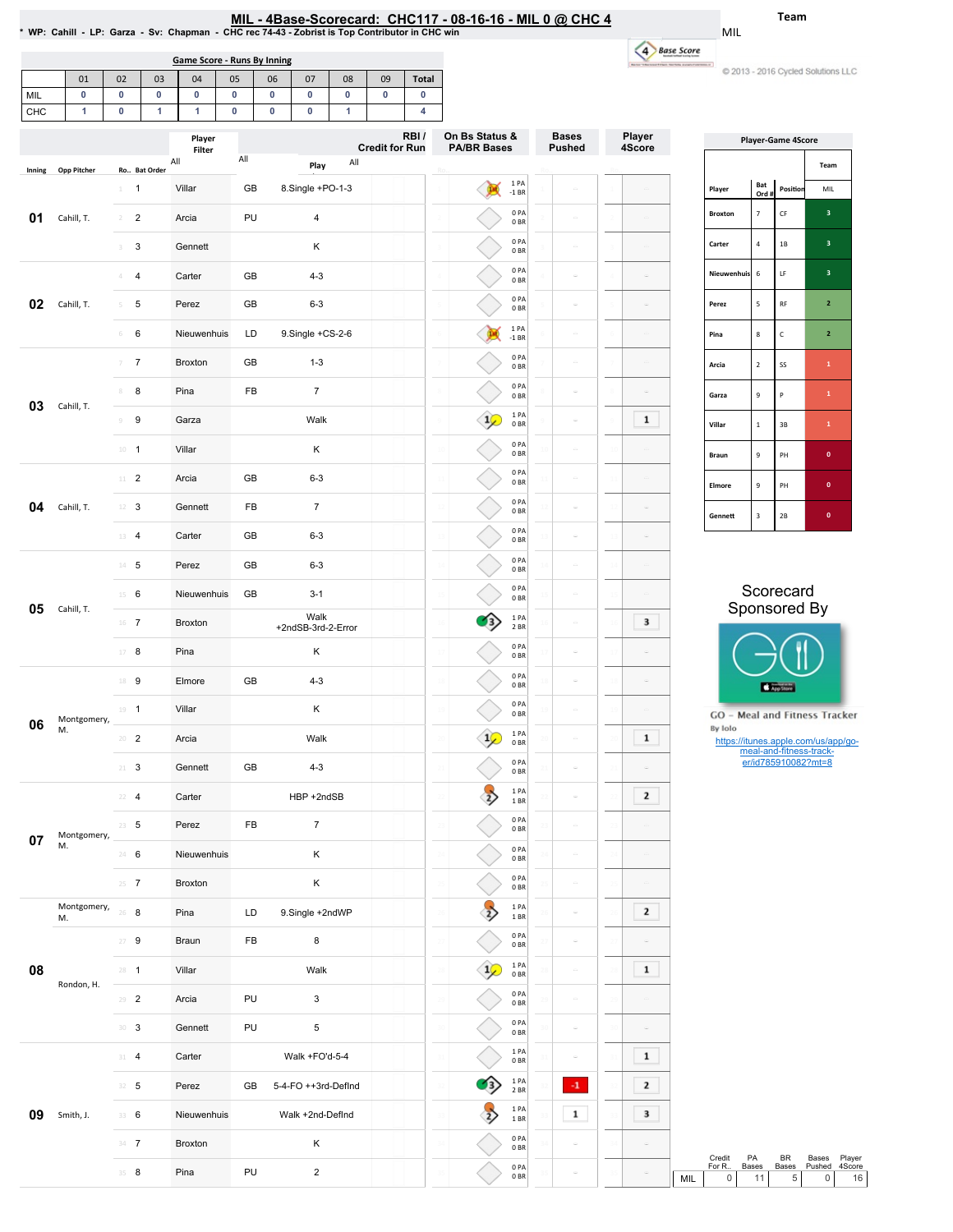# MIL - 4Base-Scorecard: CHC117 - 08-16-16 - MIL 0 @ CHC 4<br>\* WP: Cahill - LP: Garza - Sv: Chapman - CHC rec 74-43 - Zobrist is Top Contributor in CHC win

Team

@ 2013 - 2016 Cycled Solutions LLC

MIL

as)

4 Base Score

|    | Game Score - Runs By Inning |    |    |    |    |    |    |    |              |  |  |  |  |  |  |
|----|-----------------------------|----|----|----|----|----|----|----|--------------|--|--|--|--|--|--|
| 01 | 02                          | 03 | 04 | 05 | 06 | 07 | 08 | 09 | <b>Total</b> |  |  |  |  |  |  |
| O  |                             |    |    |    |    |    |    |    |              |  |  |  |  |  |  |
|    |                             |    |    |    |    |    |    |    |              |  |  |  |  |  |  |

Inning Opp Pitcher

MIL CHC

01 Cahill,T.

02 Cahill,T.

**03** Cahill, T.

**04** Cahill, T.

05 Cahill, T.

06

07

08

09 Smith, J.

33 6 Nieuwenhuis Walk+2nd-DefInd

34 7 Broxton K 35 8 Pina PU 2

|                   |                          |                         | Player<br>Filter |     |                         |     | RBI/<br><b>Credit for Run</b> |    | On Bs Status &<br><b>PA/BR Bases</b> |                                                               | <b>Bases</b><br><b>Pushed</b> | Player<br>4Score   |                     |
|-------------------|--------------------------|-------------------------|------------------|-----|-------------------------|-----|-------------------------------|----|--------------------------------------|---------------------------------------------------------------|-------------------------------|--------------------|---------------------|
| Opp Pitcher       |                          | Ro Bat Order            | All              | All | Play                    | All |                               |    |                                      |                                                               |                               |                    |                     |
|                   | $1\,$                    | 1                       | Villar           | GB  | 8.Single +PO-1-3        |     |                               |    |                                      | 1 PA<br>$-1$ BR                                               |                               |                    | Player              |
| Cahill, T.        | $\overline{2}$           | $\overline{\mathbf{c}}$ | Arcia            | PU  | 4                       |     |                               |    |                                      | 0PA<br>0 <sub>BR</sub>                                        |                               |                    | <b>Broxton</b>      |
|                   | 3                        | 3                       | Gennett          |     | κ                       |     |                               |    |                                      | 0PA<br>0BR                                                    |                               | c                  | Carter              |
|                   | 4                        | 4                       | Carter           | GB  | $4 - 3$                 |     |                               |    |                                      | 0PA<br>0 BR                                                   |                               | $\hskip1.6pt\circ$ | Nieuwenh            |
| Cahill, T.        | 5                        | 5                       | Perez            | GB  | $6 - 3$                 |     |                               |    |                                      | 0PA<br>0 BR                                                   |                               | ۰                  | Perez               |
|                   | 6                        | 6                       | Nieuwenhuis      | LD  | $9.$ Single +CS-2-6     |     |                               |    |                                      | 1 PA<br>$-1$ BR                                               | $\epsilon$                    | ö                  | Pina                |
|                   | $\overline{\mathcal{I}}$ | $\boldsymbol{7}$        | <b>Broxton</b>   | GB  | $1 - 3$                 |     |                               |    |                                      | 0 PA<br>0 BR                                                  |                               |                    | Arcia               |
|                   | 8                        | 8                       | Pina             | FB  | $\boldsymbol{7}$        |     |                               |    |                                      | 0PA<br>0B                                                     |                               | $\overline{a}$     | Garza               |
| Cahill, T.        | $\circledcirc$           | 9                       | Garza            |     | Walk                    |     |                               |    | ı                                    | 1PA<br>0B                                                     |                               | 1                  | Villar              |
|                   |                          | $10 - 1$                | Villar           |     | Κ                       |     |                               |    |                                      | 0PA<br>0BR                                                    |                               | ö                  |                     |
|                   |                          | $11$ – $2$              | Arcia            | GB  | $6 - 3$                 |     |                               |    |                                      | 0PA<br>0B                                                     |                               |                    | <b>Braun</b>        |
| Cahill, T.        |                          | $12 \t3$                | Gennett          | FB  | 7                       |     |                               |    |                                      | 0PA<br>0 <sub>BR</sub>                                        |                               |                    | Elmore              |
|                   |                          | 13 4                    | Carter           | GB  | $6 - 3$                 |     |                               |    |                                      | 0PA<br>0BR                                                    |                               | c                  | Gennett             |
|                   |                          | $14$ 5                  | Perez            | GB  | $6 - 3$                 |     |                               |    |                                      | 0PA                                                           |                               |                    |                     |
|                   |                          | $15 \t 6$               | Nieuwenhuis      | GB  | $3 - 1$                 |     |                               |    |                                      | 0 BR<br>0PA<br>0 BR                                           |                               | c                  |                     |
| Cahill, T.        |                          | $16$ 7                  | <b>Broxton</b>   |     | Walk                    |     |                               |    |                                      | 1 PA                                                          | G.                            | 3                  | S <sub>l</sub>      |
|                   |                          | $17 - 8$                | Pina             |     | +2ndSB-3rd-2-Error<br>Κ |     |                               |    |                                      | 2 BR<br>0PA                                                   |                               |                    |                     |
|                   |                          | 18 9                    | Elmore           | GB  | $4 - 3$                 |     |                               | 18 |                                      | 0 BR<br>0PA                                                   |                               |                    |                     |
|                   |                          | $19 - 1$                | Villar           |     | Κ                       |     |                               |    |                                      | 0B<br>0 PA                                                    |                               |                    |                     |
| Montgomery,<br>M. |                          |                         |                  |     |                         |     |                               |    |                                      | 0BR<br>1PA                                                    |                               |                    | $GO - M$<br>By Iolo |
|                   |                          | $20 - 2$                | Arcia            |     | Walk                    |     |                               |    | 1                                    | 0BR<br>0PA                                                    |                               | $\mathbf 1$        | https:/             |
|                   |                          | $21 - 3$                | Gennett          | GB  | $4 - 3$                 |     |                               |    |                                      | 0B<br>1PA                                                     |                               |                    |                     |
|                   |                          | $22 - 4$                | Carter           |     | HBP +2ndSB              |     |                               |    |                                      | 1BR<br>0 PA                                                   |                               | $\mathbf{z}$       |                     |
| Montgomery,<br>M. |                          | $23 - 5$                | Perez            | FB  | 7                       |     |                               |    |                                      | 0B<br>0PA                                                     |                               |                    |                     |
|                   |                          | 24 6                    | Nieuwenhuis      |     | κ                       |     |                               | 24 |                                      | 0BR<br>0PA                                                    |                               |                    |                     |
|                   |                          | $25 - 7$                | Broxton          |     | Κ                       |     |                               |    |                                      | 0 BR                                                          | C)                            | $\equiv$           |                     |
| Montgomery,<br>M. |                          | $26$ 8                  | Pina             | LD  | 9.Single +2ndWP         |     |                               | 26 | $\overline{2}$                       | 1PA<br>1 BR                                                   | G                             | 2                  |                     |
|                   |                          | $27 - 9$                | Braun            | FB  | 8                       |     |                               |    |                                      | 0 PA<br>0 BR                                                  | c                             |                    |                     |
| Rondon, H.        |                          | $28 - 1$                | Villar           |     | Walk                    |     |                               | 28 | 1                                    | 1 PA<br>0B                                                    | G.                            | 1                  |                     |
|                   |                          | $29 - 2$                | Arcia            | PU  | 3                       |     |                               |    |                                      | 0PA<br>0B                                                     |                               | $\hskip1.6pt\circ$ |                     |
|                   |                          | $30-3$                  | Gennett          | PU  | 5                       |     |                               | 30 |                                      | 0PA<br>0B                                                     |                               | $\equiv$           |                     |
|                   |                          | 31 4                    | Carter           |     | Walk +FO'd-5-4          |     |                               |    |                                      | 1 PA<br>0B                                                    |                               | 1                  |                     |
|                   |                          | $32 - 5$                | Perez            | GB  | 5-4-FO ++3rd-DefInd     |     |                               |    |                                      | $\begin{array}{c} 1 \ \text{PA} \\ 2 \ \text{BR} \end{array}$ | $-1$                          | $\mathbf 2$        |                     |

 $\begin{array}{c} 1 \text{ PA} \\ 1 \text{ BR} \end{array}$ 0PA 0BR 0PA 0BR

 $\boxed{1}$ 

33 34 35  $\overline{\mathbf{3}}$ 

## Bat Ord#  $\overline{a}$  Positi Team MIL  $7$  CF  $4$  1B  $uis 6$  LF 5 RF Pina 8 C  $2$  SS  $9$  P  $1$  3B  $9$  PH 9 PH  $3$  2B 2 2 Player-Game 4Score

### Scorecard ponsored By



**Meal and Fitness Tracker** 

https://itunes.apple.com/us/app/go-meal-and-fitness-track-er/id785910082?mt=8

Credit ForR..

PA Bases

MIL 0 11 5 0 16

BR Bases

Bases Pushed Player 4Score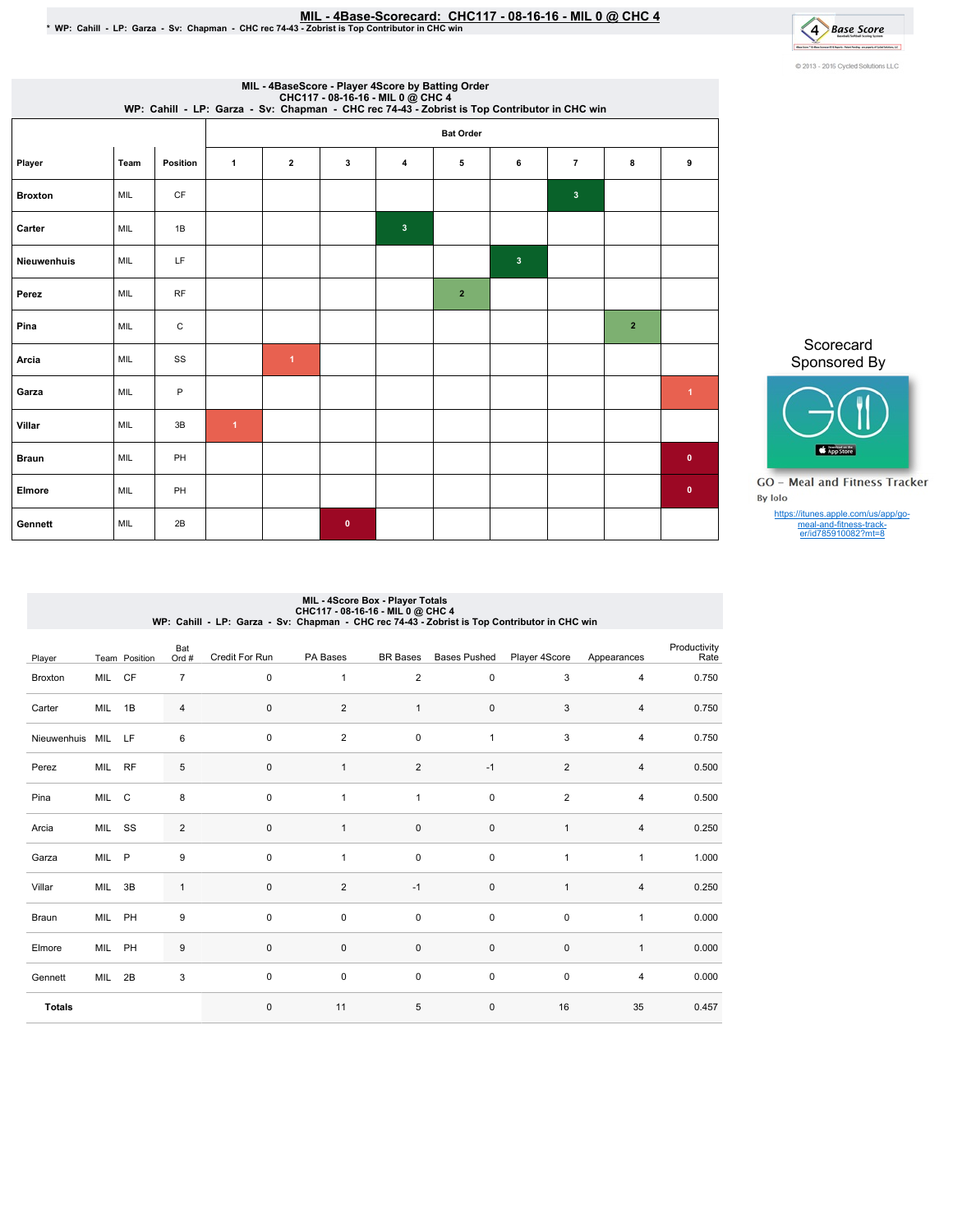# MIL - 4Base-Scorecard: CHC117 - 08-16-16 - MIL0 @ CHC 4 ف WP: Cahill - 4Base-Scorecard: CHC117 - 28-16-16 - MIL<br>\* WP: Cahill - LP: Garza - Sv: Chapman - CHC rec 74-43 - Zobrist is Top Contributor in CHC win



|                    | MIL - 4BaseScore - Player 4Score by Batting Order<br>CHC117 - 08-16-16 - MIL 0 @ CHC 4<br>WP: Cahill - LP: Garza - Sv: Chapman - CHC rec 74-43 - Zobrist is Top Contributor in CHC win |             |                |                         |           |                         |                |              |                |                |                      |  |  |  |
|--------------------|----------------------------------------------------------------------------------------------------------------------------------------------------------------------------------------|-------------|----------------|-------------------------|-----------|-------------------------|----------------|--------------|----------------|----------------|----------------------|--|--|--|
| <b>Bat Order</b>   |                                                                                                                                                                                        |             |                |                         |           |                         |                |              |                |                |                      |  |  |  |
| Player             | Team                                                                                                                                                                                   | Position    | $\mathbf{1}$   | $\overline{\mathbf{2}}$ | 3         | 4                       | 5              | 6            | $\overline{7}$ | 8              | 9                    |  |  |  |
| <b>Broxton</b>     | <b>MIL</b>                                                                                                                                                                             | <b>CF</b>   |                |                         |           |                         |                |              | $\mathbf{3}$   |                |                      |  |  |  |
| Carter             | <b>MIL</b>                                                                                                                                                                             | 1B          |                |                         |           | $\overline{\mathbf{3}}$ |                |              |                |                |                      |  |  |  |
| <b>Nieuwenhuis</b> | MIL                                                                                                                                                                                    | LF          |                |                         |           |                         |                | $\mathbf{3}$ |                |                |                      |  |  |  |
| Perez              | <b>MIL</b>                                                                                                                                                                             | <b>RF</b>   |                |                         |           |                         | $\overline{2}$ |              |                |                |                      |  |  |  |
| Pina               | <b>MIL</b>                                                                                                                                                                             | $\mathbf C$ |                |                         |           |                         |                |              |                | $\overline{2}$ |                      |  |  |  |
| Arcia              | <b>MIL</b>                                                                                                                                                                             | SS          |                | $\blacktriangleleft$    |           |                         |                |              |                |                |                      |  |  |  |
| Garza              | MIL                                                                                                                                                                                    | P           |                |                         |           |                         |                |              |                |                | $\blacktriangleleft$ |  |  |  |
| Villar             | MIL                                                                                                                                                                                    | 3B          | $\overline{1}$ |                         |           |                         |                |              |                |                |                      |  |  |  |
| <b>Braun</b>       | <b>MIL</b>                                                                                                                                                                             | PH          |                |                         |           |                         |                |              |                |                | $\bullet$            |  |  |  |
| Elmore             | MIL                                                                                                                                                                                    | PH          |                |                         |           |                         |                |              |                |                | $\bullet$            |  |  |  |
| Gennett            | MIL                                                                                                                                                                                    | 2B          |                |                         | $\bullet$ |                         |                |              |                |                |                      |  |  |  |

# MIL - 4Score Box - Player Totals<br>CHC117 - 08-16-17 - CHC - MIL 0 @ CHC 16<br>WP: Cahill - LP: Garza - Sv: Chapman - CHC rec 74-43 - Zobrist is Top Contributor in CHC win

| Player        |        | Team Position | Bat<br>Ord #     | Credit For Run | PA Bases       | <b>BR</b> Bases | <b>Bases Pushed</b> | Player 4Score  | Appearances    | Productivity<br>Rate |
|---------------|--------|---------------|------------------|----------------|----------------|-----------------|---------------------|----------------|----------------|----------------------|
| Broxton       | MIL CF |               | $\overline{7}$   | 0              | $\mathbf{1}$   | $\overline{2}$  | $\pmb{0}$           | 3              | $\overline{4}$ | 0.750                |
| Carter        | MIL    | 1B            | $\overline{4}$   | 0              | $\overline{2}$ | $\mathbf{1}$    | $\pmb{0}$           | 3              | $\overline{4}$ | 0.750                |
| Nieuwenhuis   | MIL LF |               | 6                | 0              | 2              | 0               | $\mathbf{1}$        | 3              | 4              | 0.750                |
| Perez         | MIL RF |               | $\sqrt{5}$       | 0              | $\mathbf{1}$   | $\overline{2}$  | $-1$                | $\overline{2}$ | $\sqrt{4}$     | 0.500                |
| Pina          | MIL C  |               | $\bf 8$          | 0              | 1              | $\mathbf{1}$    | $\pmb{0}$           | $\overline{2}$ | 4              | 0.500                |
| Arcia         | MIL SS |               | $\overline{2}$   | $\mathbf 0$    | $\mathbf{1}$   | $\pmb{0}$       | $\mathsf{O}\xspace$ | $\mathbf{1}$   | 4              | 0.250                |
| Garza         | MIL P  |               | $\boldsymbol{9}$ | 0              | $\mathbf{1}$   | $\pmb{0}$       | $\pmb{0}$           | $\mathbf{1}$   | $\mathbf{1}$   | 1.000                |
| Villar        | MIL    | 3B            | $\mathbf{1}$     | 0              | $\overline{2}$ | $-1$            | $\pmb{0}$           | $\mathbf{1}$   | $\overline{4}$ | 0.250                |
| Braun         | MIL PH |               | 9                | 0              | $\pmb{0}$      | $\pmb{0}$       | $\pmb{0}$           | $\pmb{0}$      | $\mathbf{1}$   | 0.000                |
| Elmore        | MIL PH |               | $\boldsymbol{9}$ | 0              | $\pmb{0}$      | $\pmb{0}$       | $\pmb{0}$           | $\pmb{0}$      | $\mathbf{1}$   | 0.000                |
| Gennett       | MIL    | 2B            | $\sqrt{3}$       | 0              | $\pmb{0}$      | $\pmb{0}$       | $\pmb{0}$           | $\pmb{0}$      | $\overline{4}$ | 0.000                |
| <b>Totals</b> |        |               |                  | 0              | 11             | 5               | $\pmb{0}$           | 16             | 35             | 0.457                |

Scorecard Sponsored By



**GO** - Meal and Fitness Tracker By Iolo

https://itunes.apple.com/us/app/go-meal-and-fitness-track-er/id785910082?mt=8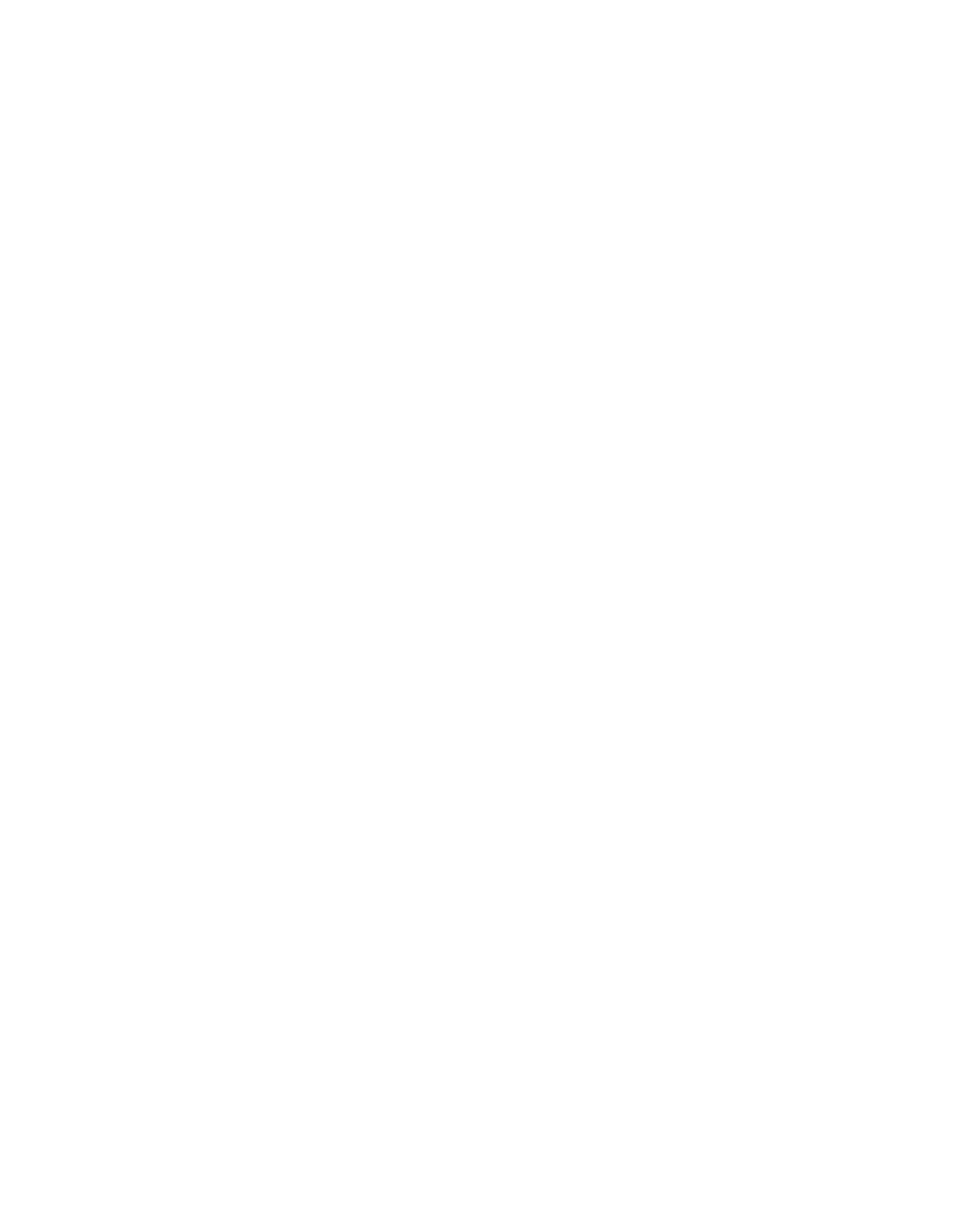: 3 & DKLOD /3 \* DUID 6Y & KDSPDQ & +& UHF  $\frac{0}{0}$  =REULWIND 7RS & ROMMEXWRULQ & +& ZLO

| 0,/ %DVH6FRUH 300 HU 6FRUHE\ %DWMQJ 2 UGHU<br>$\begin{array}{cccccc} & & & & 8+8 & & & 0 \end{array}, \quad \begin{array}{cccccc} & & & & 8+8 & & & 0 \end{array}, \quad \begin{array}{cccccc} & & & & 8+8 & & & 0 \end{array} \begin{array}{cccccc} & & & & 8+8 & & & 0 \end{array} \begin{array}{cccccc} & & & & & 8+8 & & & 0 \end{array} \begin{array}{cccccc} & & & & & 8+8 & & & 0 \end{array} \begin{array}{cccccc} & & & & & 8+8 & & 0 \end{array} \begin{array}{cccccc} & & & & 8+8 & & 0 \end{array} \begin{array}{cccccc$ |              |                              |  |  |  |  |  |  |  |  |  |  |  |
|--------------------------------------------------------------------------------------------------------------------------------------------------------------------------------------------------------------------------------------------------------------------------------------------------------------------------------------------------------------------------------------------------------------------------------------------------------------------------------------------------------------------------------------|--------------|------------------------------|--|--|--|--|--|--|--|--|--|--|--|
|                                                                                                                                                                                                                                                                                                                                                                                                                                                                                                                                      | %DW2 UGHU    |                              |  |  |  |  |  |  |  |  |  |  |  |
| 300 HU                                                                                                                                                                                                                                                                                                                                                                                                                                                                                                                               | 7HDP         | 3 RVIMRQ                     |  |  |  |  |  |  |  |  |  |  |  |
| %UR[WRQ                                                                                                                                                                                                                                                                                                                                                                                                                                                                                                                              | 0, /         | &)                           |  |  |  |  |  |  |  |  |  |  |  |
| &DUMU                                                                                                                                                                                                                                                                                                                                                                                                                                                                                                                                | 0, /         | $\%$                         |  |  |  |  |  |  |  |  |  |  |  |
| 1 LHXZ HOKXLV                                                                                                                                                                                                                                                                                                                                                                                                                                                                                                                        | 0,           | $\left( \frac{1}{2} \right)$ |  |  |  |  |  |  |  |  |  |  |  |
| 3HU                                                                                                                                                                                                                                                                                                                                                                                                                                                                                                                                  | 0, /         | 5)                           |  |  |  |  |  |  |  |  |  |  |  |
| 3 <sub>LOD</sub>                                                                                                                                                                                                                                                                                                                                                                                                                                                                                                                     | 0, /         | &                            |  |  |  |  |  |  |  |  |  |  |  |
| \$UFLD                                                                                                                                                                                                                                                                                                                                                                                                                                                                                                                               | $0 \sqrt{ }$ | 66                           |  |  |  |  |  |  |  |  |  |  |  |
| $*$ DJD                                                                                                                                                                                                                                                                                                                                                                                                                                                                                                                              | 0, /         | $\mathbf{3}$                 |  |  |  |  |  |  |  |  |  |  |  |
| 9 <sub>LO</sub>                                                                                                                                                                                                                                                                                                                                                                                                                                                                                                                      | 0, /         | $\%$                         |  |  |  |  |  |  |  |  |  |  |  |
| %UDXQ                                                                                                                                                                                                                                                                                                                                                                                                                                                                                                                                | 0, /         | $3+$                         |  |  |  |  |  |  |  |  |  |  |  |
| $($ $\oplus$ RUH                                                                                                                                                                                                                                                                                                                                                                                                                                                                                                                     | 0,           | $3+$                         |  |  |  |  |  |  |  |  |  |  |  |
| * HOOHWV                                                                                                                                                                                                                                                                                                                                                                                                                                                                                                                             | $0 \sqrt{ }$ | $\%$                         |  |  |  |  |  |  |  |  |  |  |  |



<u>KWOSY WACHYDSSON FRP XVDSSJR</u><br>PHDCDQGILWOHAYWOFN<br><u>HULG "PW</u>

|                       |        |               |                        | : 3 & DKLOD / 3 * DUJD 6Y & KDSPDQ & + & UHF = REULWW 7RS & ROWLEXWRULQ & + & ZLQ | 0, / 6 FRUH%R[ 300\HU7RW00Y<br>$8+8$ 0, $\# 8+8$ |  |                    |
|-----------------------|--------|---------------|------------------------|-----------------------------------------------------------------------------------|--------------------------------------------------|--|--------------------|
| 30MHU                 |        | 7HDP 3RVWLIRQ | %DW<br>$2 \, \text{L}$ | & UHGLIV) RUSXQ 3\$ %DVHV %6 %DVHV %DVHV 3XVKHG 300\HU 6FRUH \$SSHDUDGFHV         |                                                  |  | 3 URGXFWWW<br>5 DM |
| <b>%URT VRIQ</b>      | 0, / 8 |               |                        |                                                                                   |                                                  |  |                    |
| & DUMU                | $0/$ % |               |                        |                                                                                   |                                                  |  |                    |
| 1 LHXZ HOKXLV 0, / /) |        |               |                        |                                                                                   |                                                  |  |                    |
| ЗНИН                  | 0/5)   |               |                        |                                                                                   |                                                  |  |                    |
| 3 CD                  | 0/8    |               |                        |                                                                                   |                                                  |  |                    |
| \$UFLD                | 0/66   |               |                        |                                                                                   |                                                  |  |                    |
| * DUD                 | 0/3    |               |                        |                                                                                   |                                                  |  |                    |
| $91$ $00$             | $0/$ % |               |                        |                                                                                   |                                                  |  |                    |
| %LDXQ                 | $0/3+$ |               |                        |                                                                                   |                                                  |  |                    |
| $($ $\oplus$ RUH      | $0/3+$ |               |                        |                                                                                   |                                                  |  |                    |
| * HOCHW               | $0/$ % |               |                        |                                                                                   |                                                  |  |                    |
| 7RWDOV                |        |               |                        |                                                                                   |                                                  |  |                    |
|                       |        |               |                        |                                                                                   |                                                  |  |                    |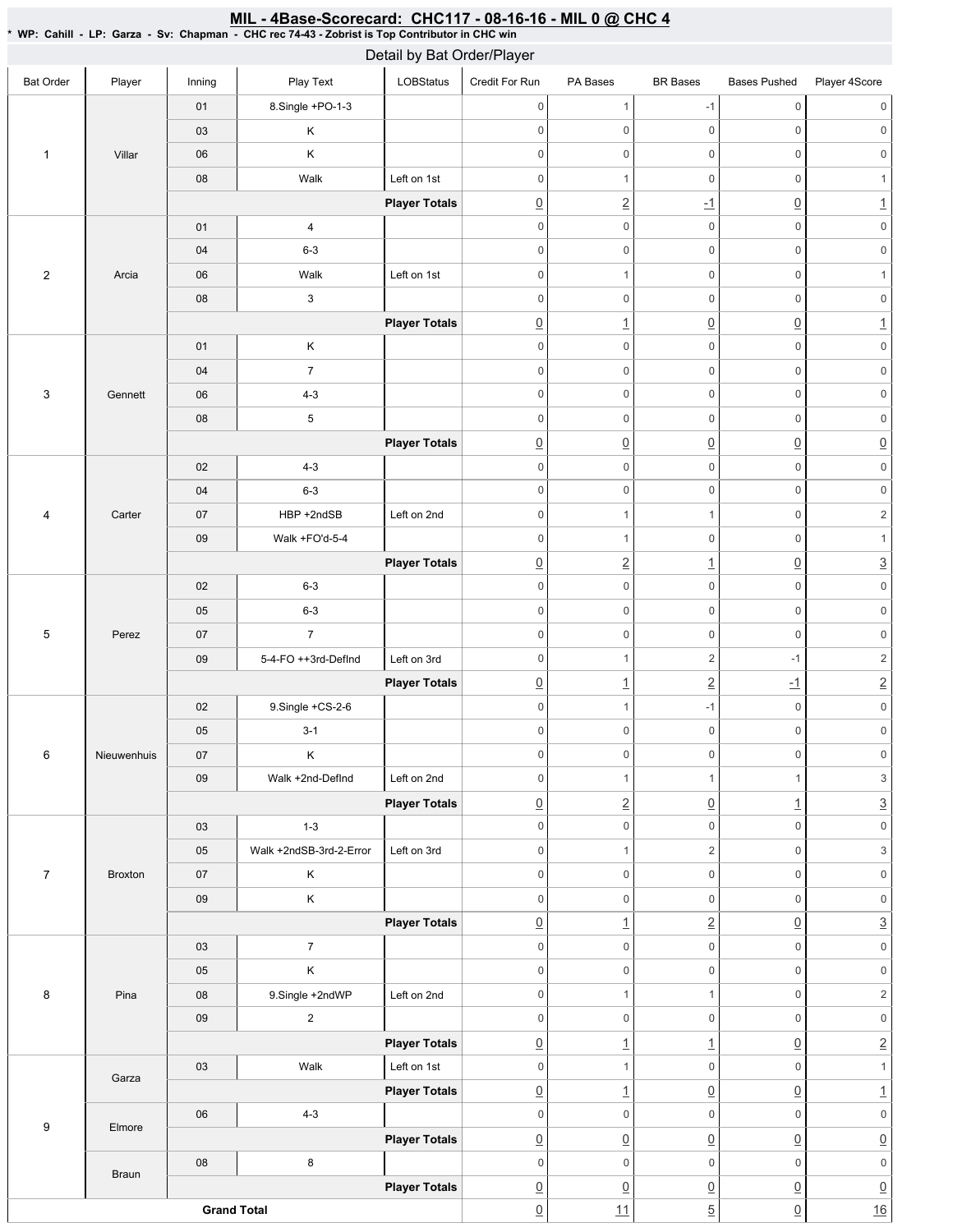#### Bat Order | Player | Inning | PlayText | LOBStatus Credit For Run PA Bases BR Bases Bases Pushed Player 4Score 1 Villar 01 8.Single +PO-1-3 03 K 06 K 08 | Walk Left on 1st **Player Totals** 2 | Arcia 01 4 04 6-3 06 | Walk Left on 1st 08 3 **Player Totals** 3 Gennett 01 K 04 7 06 4-3 08 5 **Player Totals** 4 Carter 02 4-3 04 6-3 07 HBP +2ndSB Left on 2nd 09 | Walk + FO'd-5-4 **Player Totals** 5 Perez 02 6-3 05 6-3 07 7 09 | 5-4-FO ++3rd-Defind Left on 3rd **Player Totals** 6 Nieuwenhuis 02 9.Single +CS-2-6 05 3-1 07 K 09 | Walk +2nd-Defind | Left on 2nd **Player Totals** 7 Broxton  $03$  1-3 05 Walk +2ndSB-3rd-2-Error Left on 3rd 07 K 09 K **Player Totals** 8 Pina 03 7 05 K 08 9.Single +2ndWP Left on 2nd 09 2 **Player Totals** 9 Garza 03 | Walk Left on 1st **Player Totals** Elmore 06 4-3 **Player Totals** Braun 08 8 **Player Totals Grand Total** 0 1 -1 0 0 0 0 0 0 0 0 0 0 0 0 0 0 0 0 1 0 1  $\boxed{0}$   $\boxed{2}$   $\boxed{1}$   $\boxed{0}$   $\boxed{1}$ 0 0 0 0 0 0 0 0 0 0 0 0 0 0 0 1 0 0 0 0 0 0  $\boxed{0}$  1 0  $\boxed{0}$  1 0 0 0 0 0 0 0 0 0 0 0 0 0 0 0 0 0 0 0 0 0 0 0 0 0 0 0 0 0 0 0 0 0 0 0 0 0 0 0 0 0 0 1 1 0 2 0 0 1 0 1  $\boxed{0}$  2 1  $\boxed{0}$  3 0 0 0 0 0 0 0 0 0 0 0 0 0 0 0 0 0 0 0 1 2 -1 2  $\boxed{0}$   $\boxed{1}$   $\boxed{2}$   $\boxed{-1}$   $\boxed{2}$ 0 1 -1 0 0 0 0 0 0 0 0 0 0 0 0 0 0 0 1 1 1  $1$  3  $\boxed{0}$  2  $\boxed{0}$  1 3 0 0 0 0 0 0 0 1 2 0 3 0 0 0 0 0 0 0 0 0 0 0 0 0 1 2 0 3 0 0 0 0 0 0 0 0 0 0 0 0 0 1 1 0 2 0 0 0 0 0 0  $\begin{array}{ccc} \boxed{0} & 1 & 1 & \boxed{1} & \boxed{0} & \boxed{2} \end{array}$ 0 0 0 1  $\boxed{0}$  1  $\boxed{0}$   $\boxed{0}$  1 0 0 0 0 0 0  $\overline{0}$   $\overline{0}$   $\overline{0}$   $\overline{0}$   $\overline{0}$   $\overline{0}$   $\overline{0}$ 0 0 0 0 0 0  $\overline{0}$   $\overline{0}$   $\overline{0}$   $\overline{0}$   $\overline{0}$   $\overline{0}$   $\overline{0}$  $\overline{0}$  11  $\overline{5}$   $\overline{0}$  16 Detail by Bat Order/Player

### MIL - 4Base-Scorecard: CHC117 - 08-16-16 - MIL 0 @ CHC 4

\*WP:Cahill-LP:Garza-Sv:Chapman-CHCrec74-43-ZobristisTopContributorinCHCwin